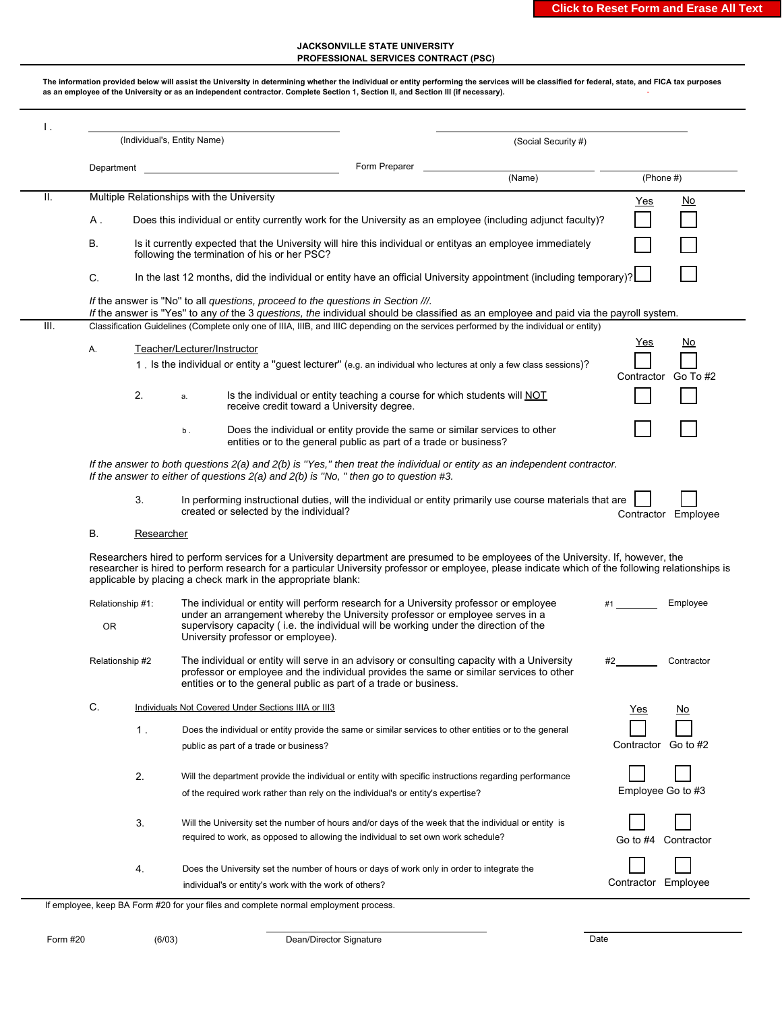## **JACKSONVILLE STATE UNIVERSITY PROFESSIONAL SERVICES CONTRACT (PSC)**

**The information provided below will assist the University in determining whether the individual or entity performing the services will be classified for federal, state, and FICA tax purposes as an employee of the University or as an independent contractor. Complete Section 1, Section II, and Section III (if necessary).**  I . (Individual's, Entity Name) (Social Security #) (Social Security #) Department Form Preparer (Name) (Phone #) II. Multiple Relationships with the University  $A$ . B. Is it currently expected that the University will hire this individual or entityas an employee immediately following the termination of his or her PSC? C. In the last 12 months, did the individual or entity have an official University appointment (including temporary)? *If* the answer is ''No'' to all *questions, proceed to the questions in Section ///. If* the answer is ''Yes'' to any *of* the 3 *questions, the* individual should be classified as an employee and paid via the payroll system. III. Classification Guidelines (Complete only one of IIIA, IIIB, and IIIC depending on the services performed by the individual or entity) A. Teacher/Lecturer/Instructor 1 . Is the individual or entity a ''guest lecturer'' (e.g. an individual who lectures at only a few class sessions)? Contractor Go To #2 2. a. Is the individual or entity teaching a course for which students will NOT receive credit toward a University degree. a. b . Does the individual or entity provide the same or similar services to other entities or to the general public as part of a trade or business? *If the answer to both questions 2(a) and 2(b) is ''Yes,'' then treat the individual or entity as an independent contractor. If the answer to either of questions 2(a) and 2(b) is ''No, " then go to question #3.* 3. In performing instructional duties, will the individual or entity primarily use course materials that are created or selected by the individual? Contractor Employee B. Researcher Researchers hired to perform services for a University department are presumed to be employees of the University. If, however, the researcher is hired to perform research for a particular University professor or employee, please indicate which of the following relationships is applicable by placing a check mark in the appropriate blank: Relationship #1: The individual or entity will perform research for a University professor or employee #1 \_\_\_\_\_\_ Employee under an arrangement whereby the University professor or employee serves in a supervisory capacity ( i.e. the individual will be working under the direction of the University professor or employee). OR Relationship #2 The individual or entity will serve in an advisory or consulting capacity with a University #2 Contractor professor or employee and the individual provides the same or similar services to other entities or to the general public as part of a trade or business. C. Individuals Not Covered Under Sections IIIA or III3 1 . Does the individual or entity provide the same or similar services to other entities or to the general public as part of a trade or business? Contractor Go to #2 2. Will the department provide the individual or entity with specific instructions regarding performance of the required work rather than rely on the individual's or entity's expertise? The state of the match of the Employee Go to #3 3. Will the University set the number of hours and/or days of the week that the individual or entity is Go to #4 Contractor 4. Does the University set the number of hours or days of work only in order to integrate the Contractor Employee Yes No Yes No Does this individual or entity currently work for the University as an employee (including adjunct faculty)? Yes No required to work, as opposed to allowing the individual to set own work schedule? individual's or entity's work with the work of others?

If employee, keep BA Form #20 for your files and complete normal employment process.